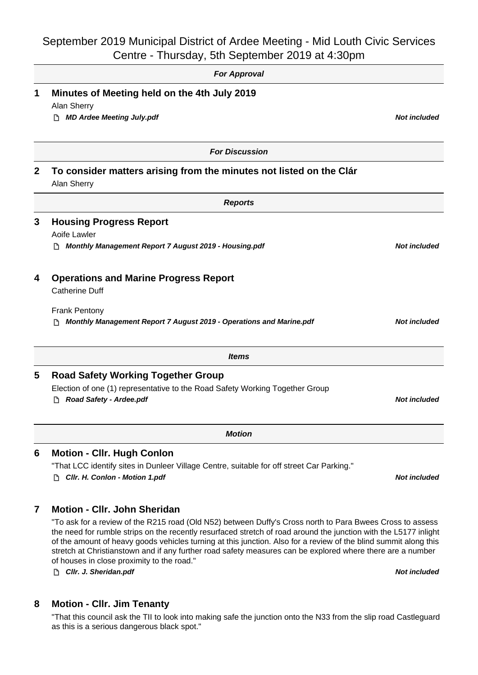## September 2019 Municipal District of Ardee Meeting - Mid Louth Civic Services

|             | Centre - Thursday, 5th September 2019 at 4:30pm                                                                                                                                                                                                                                                                                                                                                                                                                                                               |                     |
|-------------|---------------------------------------------------------------------------------------------------------------------------------------------------------------------------------------------------------------------------------------------------------------------------------------------------------------------------------------------------------------------------------------------------------------------------------------------------------------------------------------------------------------|---------------------|
|             | <b>For Approval</b>                                                                                                                                                                                                                                                                                                                                                                                                                                                                                           |                     |
| 1           | Minutes of Meeting held on the 4th July 2019<br>Alan Sherry                                                                                                                                                                                                                                                                                                                                                                                                                                                   |                     |
|             | <b>MD Ardee Meeting July.pdf</b>                                                                                                                                                                                                                                                                                                                                                                                                                                                                              | <b>Not included</b> |
|             | <b>For Discussion</b>                                                                                                                                                                                                                                                                                                                                                                                                                                                                                         |                     |
| $\mathbf 2$ | To consider matters arising from the minutes not listed on the Clár<br>Alan Sherry                                                                                                                                                                                                                                                                                                                                                                                                                            |                     |
|             | <b>Reports</b>                                                                                                                                                                                                                                                                                                                                                                                                                                                                                                |                     |
| 3           | <b>Housing Progress Report</b><br>Aoife Lawler                                                                                                                                                                                                                                                                                                                                                                                                                                                                |                     |
|             | Monthly Management Report 7 August 2019 - Housing.pdf<br>נו                                                                                                                                                                                                                                                                                                                                                                                                                                                   | <b>Not included</b> |
| 4           | <b>Operations and Marine Progress Report</b><br><b>Catherine Duff</b>                                                                                                                                                                                                                                                                                                                                                                                                                                         |                     |
|             | <b>Frank Pentony</b><br>Monthly Management Report 7 August 2019 - Operations and Marine.pdf                                                                                                                                                                                                                                                                                                                                                                                                                   | <b>Not included</b> |
|             | <b>Items</b>                                                                                                                                                                                                                                                                                                                                                                                                                                                                                                  |                     |
| 5           | <b>Road Safety Working Together Group</b>                                                                                                                                                                                                                                                                                                                                                                                                                                                                     |                     |
|             | Election of one (1) representative to the Road Safety Working Together Group<br>Road Safety - Ardee.pdf                                                                                                                                                                                                                                                                                                                                                                                                       | <b>Not included</b> |
|             | <b>Motion</b>                                                                                                                                                                                                                                                                                                                                                                                                                                                                                                 |                     |
| 6           | <b>Motion - Cllr. Hugh Conlon</b>                                                                                                                                                                                                                                                                                                                                                                                                                                                                             |                     |
|             | "That LCC identify sites in Dunleer Village Centre, suitable for off street Car Parking."<br>Cllr. H. Conlon - Motion 1.pdf                                                                                                                                                                                                                                                                                                                                                                                   | <b>Not included</b> |
| 7           | <b>Motion - Cllr. John Sheridan</b>                                                                                                                                                                                                                                                                                                                                                                                                                                                                           |                     |
|             | "To ask for a review of the R215 road (Old N52) between Duffy's Cross north to Para Bwees Cross to assess<br>the need for rumble strips on the recently resurfaced stretch of road around the junction with the L5177 inlight<br>of the amount of heavy goods vehicles turning at this junction. Also for a review of the blind summit along this<br>stretch at Christianstown and if any further road safety measures can be explored where there are a number<br>of houses in close proximity to the road." |                     |
|             | Cllr. J. Sheridan.pdf<br>I٦.                                                                                                                                                                                                                                                                                                                                                                                                                                                                                  | <b>Not included</b> |

**8 Motion - Cllr. Jim Tenanty**

"That this council ask the TII to look into making safe the junction onto the N33 from the slip road Castleguard as this is a serious dangerous black spot."